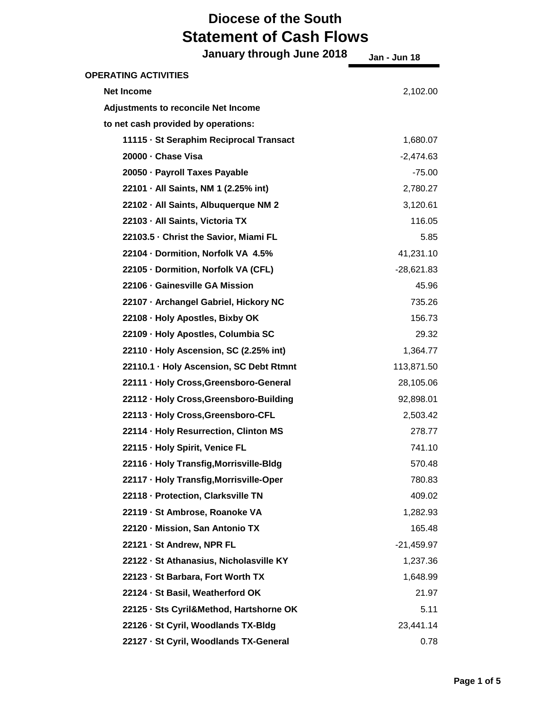| January through June 2018                  | Jan - Jun 18 |
|--------------------------------------------|--------------|
| <b>OPERATING ACTIVITIES</b>                |              |
| <b>Net Income</b>                          | 2,102.00     |
| <b>Adjustments to reconcile Net Income</b> |              |
| to net cash provided by operations:        |              |
| 11115 · St Seraphim Reciprocal Transact    | 1,680.07     |
| 20000 - Chase Visa                         | $-2,474.63$  |
| 20050 - Payroll Taxes Payable              | $-75.00$     |
| 22101 · All Saints, NM 1 (2.25% int)       | 2,780.27     |
| 22102 · All Saints, Albuquerque NM 2       | 3,120.61     |
| 22103 - All Saints, Victoria TX            | 116.05       |
| 22103.5 Christ the Savior, Miami FL        | 5.85         |
| 22104 - Dormition, Norfolk VA 4.5%         | 41,231.10    |
| 22105 - Dormition, Norfolk VA (CFL)        | $-28,621.83$ |
| 22106 - Gainesville GA Mission             | 45.96        |
| 22107 · Archangel Gabriel, Hickory NC      | 735.26       |
| 22108 · Holy Apostles, Bixby OK            | 156.73       |
| 22109 · Holy Apostles, Columbia SC         | 29.32        |
| 22110 · Holy Ascension, SC (2.25% int)     | 1,364.77     |
| 22110.1 · Holy Ascension, SC Debt Rtmnt    | 113,871.50   |
| 22111 · Holy Cross, Greensboro-General     | 28,105.06    |
| 22112 · Holy Cross, Greensboro-Building    | 92,898.01    |
| 22113 - Holy Cross, Greensboro-CFL         | 2,503.42     |
| 22114 - Holy Resurrection, Clinton MS      | 278.77       |
| 22115 · Holy Spirit, Venice FL             | 741.10       |
| 22116 · Holy Transfig, Morrisville-Bldg    | 570.48       |
| 22117 · Holy Transfig, Morrisville-Oper    | 780.83       |
| 22118 - Protection, Clarksville TN         | 409.02       |
| 22119 - St Ambrose, Roanoke VA             | 1,282.93     |
| 22120 - Mission, San Antonio TX            | 165.48       |
| 22121 - St Andrew, NPR FL                  | $-21,459.97$ |
| 22122 · St Athanasius, Nicholasville KY    | 1,237.36     |
| 22123 - St Barbara, Fort Worth TX          | 1,648.99     |
| 22124 · St Basil, Weatherford OK           | 21.97        |
| 22125 · Sts Cyril&Method, Hartshorne OK    | 5.11         |
| 22126 · St Cyril, Woodlands TX-Bldg        | 23,441.14    |
| 22127 · St Cyril, Woodlands TX-General     | 0.78         |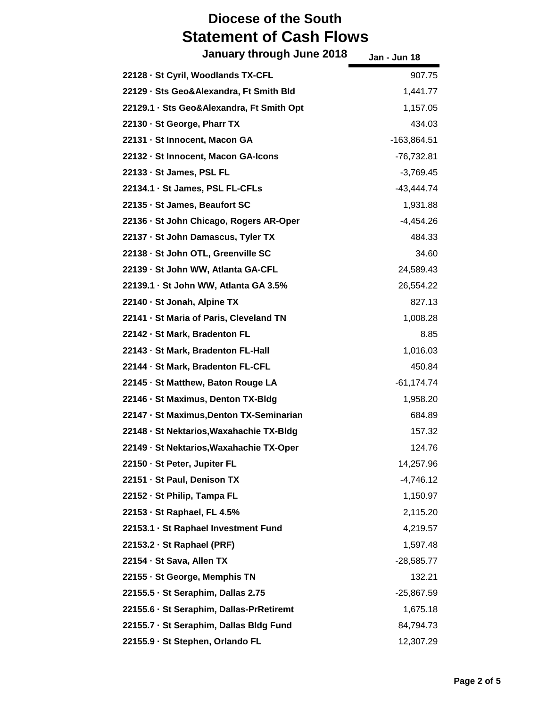| January through June 2018                 | Jan - Jun 18  |
|-------------------------------------------|---------------|
| 22128 - St Cyril, Woodlands TX-CFL        | 907.75        |
| 22129 · Sts Geo&Alexandra, Ft Smith Bld   | 1,441.77      |
| 22129.1 · Sts Geo&Alexandra, Ft Smith Opt | 1,157.05      |
| 22130 · St George, Pharr TX               | 434.03        |
| 22131 - St Innocent, Macon GA             | $-163,864.51$ |
| 22132 · St Innocent, Macon GA-Icons       | $-76,732.81$  |
| 22133 · St James, PSL FL                  | $-3,769.45$   |
| 22134.1 · St James, PSL FL-CFLs           | $-43,444.74$  |
| 22135 · St James, Beaufort SC             | 1,931.88      |
| 22136 · St John Chicago, Rogers AR-Oper   | $-4,454.26$   |
| 22137 · St John Damascus, Tyler TX        | 484.33        |
| 22138 · St John OTL, Greenville SC        | 34.60         |
| 22139 - St John WW, Atlanta GA-CFL        | 24,589.43     |
| 22139.1 · St John WW, Atlanta GA 3.5%     | 26,554.22     |
| 22140 · St Jonah, Alpine TX               | 827.13        |
| 22141 · St Maria of Paris, Cleveland TN   | 1,008.28      |
| 22142 · St Mark, Bradenton FL             | 8.85          |
| 22143 - St Mark, Bradenton FL-Hall        | 1,016.03      |
| 22144 - St Mark, Bradenton FL-CFL         | 450.84        |
| 22145 · St Matthew, Baton Rouge LA        | $-61,174.74$  |
| 22146 - St Maximus, Denton TX-Bldg        | 1,958.20      |
| 22147 · St Maximus, Denton TX-Seminarian  | 684.89        |
| 22148 · St Nektarios, Waxahachie TX-Bldg  | 157.32        |
| 22149 - St Nektarios, Waxahachie TX-Oper  | 124.76        |
| 22150 · St Peter, Jupiter FL              | 14,257.96     |
| 22151 · St Paul, Denison TX               | $-4,746.12$   |
| 22152 · St Philip, Tampa FL               | 1,150.97      |
| 22153 · St Raphael, FL 4.5%               | 2,115.20      |
| 22153.1 · St Raphael Investment Fund      | 4,219.57      |
| 22153.2 · St Raphael (PRF)                | 1,597.48      |
| 22154 · St Sava, Allen TX                 | $-28,585.77$  |
| 22155 · St George, Memphis TN             | 132.21        |
| 22155.5 · St Seraphim, Dallas 2.75        | $-25,867.59$  |
| 22155.6 · St Seraphim, Dallas-PrRetiremt  | 1,675.18      |
| 22155.7 · St Seraphim, Dallas Bldg Fund   | 84,794.73     |
| 22155.9 · St Stephen, Orlando FL          | 12,307.29     |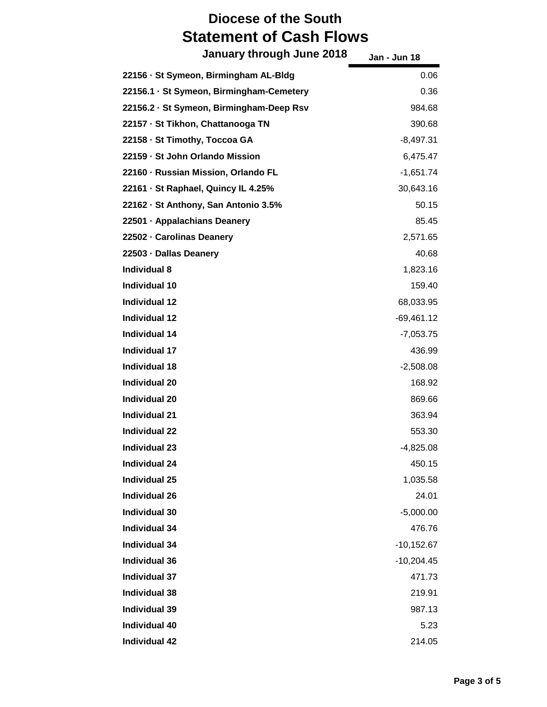| January through June 2018                | Jan - Jun 18 |
|------------------------------------------|--------------|
| 22156 · St Symeon, Birmingham AL-Bldg    | 0.06         |
| 22156.1 · St Symeon, Birmingham-Cemetery | 0.36         |
| 22156.2 · St Symeon, Birmingham-Deep Rsv | 984.68       |
| 22157 · St Tikhon, Chattanooga TN        | 390.68       |
| 22158 - St Timothy, Toccoa GA            | $-8,497.31$  |
| 22159 - St John Orlando Mission          | 6,475.47     |
| 22160 - Russian Mission, Orlando FL      | $-1,651.74$  |
| 22161 · St Raphael, Quincy IL 4.25%      | 30,643.16    |
| 22162 - St Anthony, San Antonio 3.5%     | 50.15        |
| 22501 · Appalachians Deanery             | 85.45        |
| 22502 - Carolinas Deanery                | 2,571.65     |
| 22503 · Dallas Deanery                   | 40.68        |
| <b>Individual 8</b>                      | 1,823.16     |
| <b>Individual 10</b>                     | 159.40       |
| <b>Individual 12</b>                     | 68,033.95    |
| <b>Individual 12</b>                     | $-69,461.12$ |
| <b>Individual 14</b>                     | $-7,053.75$  |
| <b>Individual 17</b>                     | 436.99       |
| <b>Individual 18</b>                     | $-2,508.08$  |
| <b>Individual 20</b>                     | 168.92       |
| <b>Individual 20</b>                     | 869.66       |
| <b>Individual 21</b>                     | 363.94       |
| <b>Individual 22</b>                     | 553.30       |
| Individual 23                            | $-4,825.08$  |
| <b>Individual 24</b>                     | 450.15       |
| <b>Individual 25</b>                     | 1,035.58     |
| <b>Individual 26</b>                     | 24.01        |
| <b>Individual 30</b>                     | $-5,000.00$  |
| <b>Individual 34</b>                     | 476.76       |
| <b>Individual 34</b>                     | $-10,152.67$ |
| <b>Individual 36</b>                     | $-10,204.45$ |
| <b>Individual 37</b>                     | 471.73       |
| <b>Individual 38</b>                     | 219.91       |
| <b>Individual 39</b>                     | 987.13       |
| <b>Individual 40</b>                     | 5.23         |
| <b>Individual 42</b>                     | 214.05       |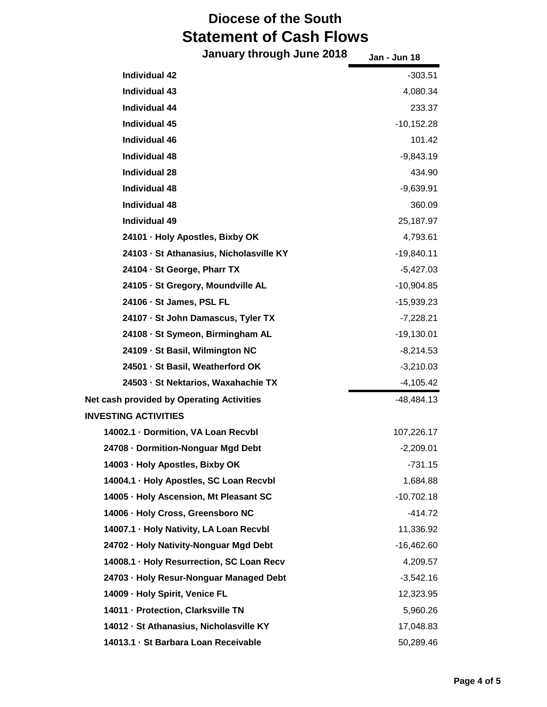| January through June 2018                        | Jan - Jun 18 |
|--------------------------------------------------|--------------|
| <b>Individual 42</b>                             | $-303.51$    |
| <b>Individual 43</b>                             | 4,080.34     |
| <b>Individual 44</b>                             | 233.37       |
| <b>Individual 45</b>                             | $-10,152.28$ |
| <b>Individual 46</b>                             | 101.42       |
| <b>Individual 48</b>                             | $-9,843.19$  |
| <b>Individual 28</b>                             | 434.90       |
| <b>Individual 48</b>                             | $-9,639.91$  |
| <b>Individual 48</b>                             | 360.09       |
| <b>Individual 49</b>                             | 25,187.97    |
| 24101 · Holy Apostles, Bixby OK                  | 4,793.61     |
| 24103 · St Athanasius, Nicholasville KY          | $-19,840.11$ |
| 24104 · St George, Pharr TX                      | $-5,427.03$  |
| 24105 - St Gregory, Moundville AL                | $-10,904.85$ |
| 24106 · St James, PSL FL                         | $-15,939.23$ |
| 24107 · St John Damascus, Tyler TX               | $-7,228.21$  |
| 24108 - St Symeon, Birmingham AL                 | $-19,130.01$ |
| 24109 - St Basil, Wilmington NC                  | $-8,214.53$  |
| 24501 · St Basil, Weatherford OK                 | $-3,210.03$  |
| 24503 - St Nektarios, Waxahachie TX              | $-4,105.42$  |
| <b>Net cash provided by Operating Activities</b> | $-48,484.13$ |
| <b>INVESTING ACTIVITIES</b>                      |              |
| 14002.1 · Dormition, VA Loan Recvbl              | 107,226.17   |
| 24708 - Dormition-Nonguar Mgd Debt               | $-2,209.01$  |
| 14003 · Holy Apostles, Bixby OK                  | -731.15      |
| 14004.1 · Holy Apostles, SC Loan Recvbl          | 1,684.88     |
| 14005 · Holy Ascension, Mt Pleasant SC           | $-10,702.18$ |
| 14006 · Holy Cross, Greensboro NC                | $-414.72$    |
| 14007.1 · Holy Nativity, LA Loan Recvbl          | 11,336.92    |
| 24702 · Holy Nativity-Nonguar Mgd Debt           | $-16,462.60$ |
| 14008.1 · Holy Resurrection, SC Loan Recv        | 4,209.57     |
| 24703 · Holy Resur-Nonguar Managed Debt          | $-3,542.16$  |
| 14009 - Holy Spirit, Venice FL                   | 12,323.95    |
| 14011 · Protection, Clarksville TN               | 5,960.26     |
| 14012 · St Athanasius, Nicholasville KY          | 17,048.83    |
| 14013.1 · St Barbara Loan Receivable             | 50,289.46    |